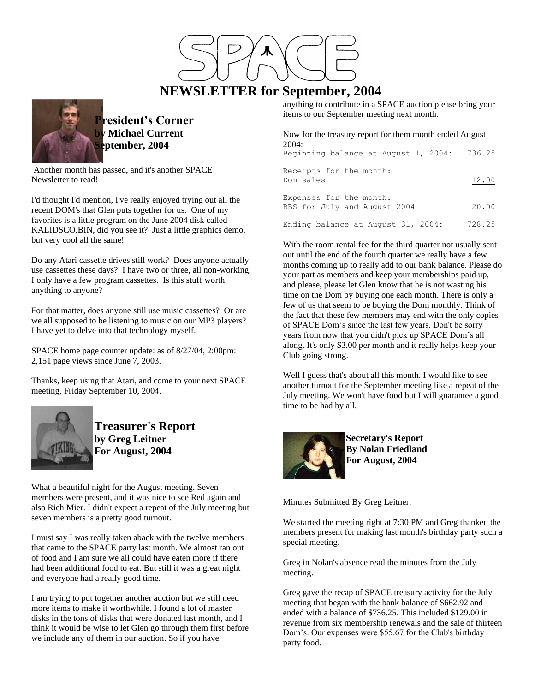

# **NEWSLETTER for September, 2004**



**President's Corner by Michael Current September, 2004**

Another month has passed, and it's another SPACE Newsletter to read!

I'd thought I'd mention, I've really enjoyed trying out all the recent DOM's that Glen puts together for us. One of my favorites is a little program on the June 2004 disk called KALIDSCO.BIN, did you see it? Just a little graphics demo, but very cool all the same!

Do any Atari cassette drives still work? Does anyone actually use cassettes these days? I have two or three, all non-working. I only have a few program cassettes. Is this stuff worth anything to anyone?

For that matter, does anyone still use music cassettes? Or are we all supposed to be listening to music on our MP3 players? I have yet to delve into that technology myself.

SPACE home page counter update: as of 8/27/04, 2:00pm: 2,151 page views since June 7, 2003.

Thanks, keep using that Atari, and come to your next SPACE meeting, Friday September 10, 2004.



**Treasurer's Report by Greg Leitner For August, 2004**

What a beautiful night for the August meeting. Seven members were present, and it was nice to see Red again and also Rich Mier. I didn't expect a repeat of the July meeting but seven members is a pretty good turnout.

I must say I was really taken aback with the twelve members that came to the SPACE party last month. We almost ran out of food and I am sure we all could have eaten more if there had been additional food to eat. But still it was a great night and everyone had a really good time.

I am trying to put together another auction but we still need more items to make it worthwhile. I found a lot of master disks in the tons of disks that were donated last month, and I think it would be wise to let Glen go through them first before we include any of them in our auction. So if you have

anything to contribute in a SPACE auction please bring your items to our September meeting next month.

Now for the treasury report for them month ended August 2004: Beginning balance at August 1, 2004: 736.25

| Receipts for the month:<br>Dom sales                    | 12.00  |
|---------------------------------------------------------|--------|
| Expenses for the month:<br>BBS for July and August 2004 | 20.00  |
| Ending balance at August 31, 2004:                      | 728.25 |

With the room rental fee for the third quarter not usually sent out until the end of the fourth quarter we really have a few months coming up to really add to our bank balance. Please do your part as members and keep your memberships paid up, and please, please let Glen know that he is not wasting his time on the Dom by buying one each month. There is only a few of us that seem to be buying the Dom monthly. Think of the fact that these few members may end with the only copies of SPACE Dom's since the last few years. Don't be sorry years from now that you didn't pick up SPACE Dom's all along. It's only \$3.00 per month and it really helps keep your Club going strong.

Well I guess that's about all this month. I would like to see another turnout for the September meeting like a repeat of the July meeting. We won't have food but I will guarantee a good time to be had by all.



**Secretary's Report By Nolan Friedland For August, 2004**

Minutes Submitted By Greg Leitner.

We started the meeting right at 7:30 PM and Greg thanked the members present for making last month's birthday party such a special meeting.

Greg in Nolan's absence read the minutes from the July meeting.

Greg gave the recap of SPACE treasury activity for the July meeting that began with the bank balance of \$662.92 and ended with a balance of \$736.25. This included \$129.00 in revenue from six membership renewals and the sale of thirteen Dom's. Our expenses were \$55.67 for the Club's birthday party food.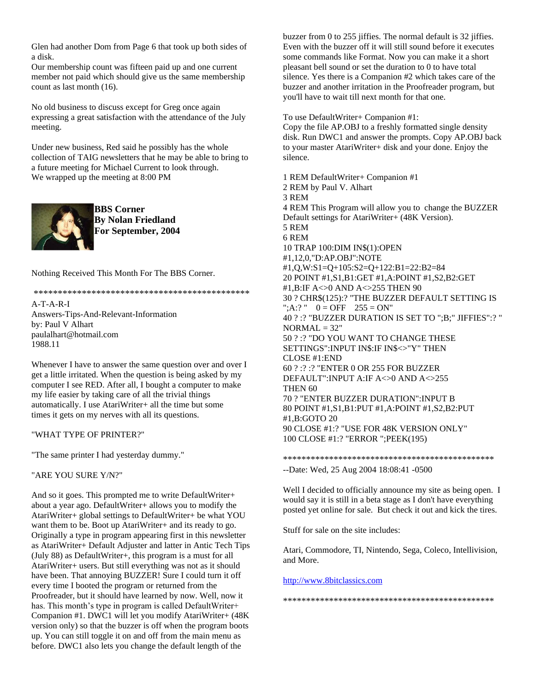Glen had another Dom from Page 6 that took up both sides of a disk.

Our membership count was fifteen paid up and one current member not paid which should give us the same membership count as last month (16).

No old business to discuss except for Greg once again expressing a great satisfaction with the attendance of the July meeting.

Under new business, Red said he possibly has the whole collection of TAIG newsletters that he may be able to bring to a future meeting for Michael Current to look through. We wrapped up the meeting at 8:00 PM



**BBS Corner By Nolan Friedland For September, 2004**

Nothing Received This Month For The BBS Corner.

\*\*\*\*\*\*\*\*\*\*\*\*\*\*\*\*\*\*\*\*\*\*\*\*\*\*\*\*\*\*\*\*\*\*\*\*\*\*\*\*\*\*\*\*\*

A-T-A-R-I Answers-Tips-And-Relevant-Information by: Paul V Alhart paulalhart@hotmail.com 1988.11

Whenever I have to answer the same question over and over I get a little irritated. When the question is being asked by my computer I see RED. After all, I bought a computer to make my life easier by taking care of all the trivial things automatically. I use AtariWriter+ all the time but some times it gets on my nerves with all its questions.

### "WHAT TYPE OF PRINTER?"

"The same printer I had yesterday dummy."

"ARE YOU SURE Y/N?"

And so it goes. This prompted me to write DefaultWriter+ about a year ago. DefaultWriter+ allows you to modify the AtariWriter+ global settings to DefaultWriter+ be what YOU want them to be. Boot up AtariWriter+ and its ready to go. Originally a type in program appearing first in this newsletter as AtariWriter+ Default Adjuster and latter in Antic Tech Tips (July 88) as DefaultWriter+, this program is a must for all AtariWriter+ users. But still everything was not as it should have been. That annoying BUZZER! Sure I could turn it off every time I booted the program or returned from the Proofreader, but it should have learned by now. Well, now it has. This month's type in program is called DefaultWriter+ Companion #1. DWC1 will let you modify AtariWriter+ (48K version only) so that the buzzer is off when the program boots up. You can still toggle it on and off from the main menu as before. DWC1 also lets you change the default length of the

buzzer from 0 to 255 jiffies. The normal default is 32 jiffies. Even with the buzzer off it will still sound before it executes some commands like Format. Now you can make it a short pleasant bell sound or set the duration to 0 to have total silence. Yes there is a Companion #2 which takes care of the buzzer and another irritation in the Proofreader program, but you'll have to wait till next month for that one.

To use DefaultWriter+ Companion #1:

Copy the file AP.OBJ to a freshly formatted single density disk. Run DWC1 and answer the prompts. Copy AP.OBJ back to your master AtariWriter+ disk and your done. Enjoy the silence.

1 REM DefaultWriter+ Companion #1 2 REM by Paul V. Alhart 3 REM 4 REM This Program will allow you to change the BUZZER Default settings for AtariWriter+ (48K Version). 5 REM 6 REM 10 TRAP 100:DIM IN\$(1):OPEN #1,12,0,"D:AP.OBJ":NOTE #1,Q,W:S1=Q+105:S2=Q+122:B1=22:B2=84 20 POINT #1,S1,B1:GET #1,A:POINT #1,S2,B2:GET #1,B:IF A<>0 AND A<>255 THEN 90 30 ? CHR\$(125):? "THE BUZZER DEFAULT SETTING IS ";A:? "  $0 = \text{OFF}$  255 = ON" 40 ? :? "BUZZER DURATION IS SET TO ";B;" JIFFIES":? "  $NORMAL = 32"$ 50 ? :? "DO YOU WANT TO CHANGE THESE SETTINGS":INPUT IN\$:IF IN\$<>"Y" THEN CLOSE #1:END 60 ? :? :? "ENTER 0 OR 255 FOR BUZZER DEFAULT":INPUT A:IF A<>0 AND A<>255 THEN 60 70 ? "ENTER BUZZER DURATION":INPUT B 80 POINT #1,S1,B1:PUT #1,A:POINT #1,S2,B2:PUT #1,B:GOTO 20 90 CLOSE #1:? "USE FOR 48K VERSION ONLY" 100 CLOSE #1:? "ERROR ";PEEK(195)

## \*\*\*\*\*\*\*\*\*\*\*\*\*\*\*\*\*\*\*\*\*\*\*\*\*\*\*\*\*\*\*\*\*\*\*\*\*\*\*\*\*\*\*\*\*\* --Date: Wed, 25 Aug 2004 18:08:41 -0500

Well I decided to officially announce my site as being open. I would say it is still in a beta stage as I don't have everything posted yet online for sale. But check it out and kick the tires.

Stuff for sale on the site includes:

Atari, Commodore, TI, Nintendo, Sega, Coleco, Intellivision, and More.

### [http://www.8bitclassics.com](http://www.8bitclassics.com/)

\*\*\*\*\*\*\*\*\*\*\*\*\*\*\*\*\*\*\*\*\*\*\*\*\*\*\*\*\*\*\*\*\*\*\*\*\*\*\*\*\*\*\*\*\*\*